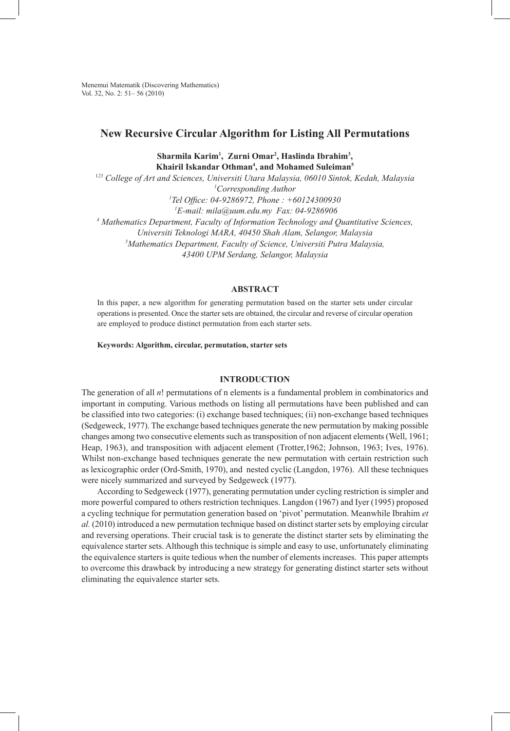Menemui Matematik (Discovering Mathematics) Vol. 32, No. 2: 51– 56 (2010)

# **New Recursive Circular Algorithm for Listing All Permutations**

**Sharmila Karim1 , Zurni Omar2 , Haslinda Ibrahim3 , Khairil Iskandar Othman4 , and Mohamed Suleiman5**

<sup>1</sup>*23 College of Art and Sciences, Universiti Utara Malaysia, 06010 Sintok, Kedah, Malaysia 1 Corresponding Author*

*1 Tel Office: 04-9286972, Phone : +60124300930*

*1 E-mail: mila@uum.edu.my Fax: 04-9286906*

*4 Mathematics Department, Faculty of Information Technology and Quantitative Sciences,* 

*Universiti Teknologi MARA, 40450 Shah Alam, Selangor, Malaysia*

*5 Mathematics Department, Faculty of Science, Universiti Putra Malaysia,* 

*43400 UPM Serdang, Selangor, Malaysia* 

## **ABSTRACT**

In this paper, a new algorithm for generating permutation based on the starter sets under circular operations is presented. Once the starter sets are obtained, the circular and reverse of circular operation are employed to produce distinct permutation from each starter sets.

**Keywords: Algorithm, circular, permutation, starter sets**

# **INTRODUCTION**

The generation of all *n*! permutations of n elements is a fundamental problem in combinatorics and important in computing. Various methods on listing all permutations have been published and can be classified into two categories: (i) exchange based techniques; (ii) non-exchange based techniques (Sedgeweck, 1977). The exchange based techniques generate the new permutation by making possible changes among two consecutive elements such as transposition of non adjacent elements (Well, 1961; Heap, 1963), and transposition with adjacent element (Trotter,1962; Johnson, 1963; Ives, 1976). Whilst non-exchange based techniques generate the new permutation with certain restriction such as lexicographic order (Ord-Smith, 1970), and nested cyclic (Langdon, 1976). All these techniques were nicely summarized and surveyed by Sedgeweck (1977).

According to Sedgeweck (1977), generating permutation under cycling restriction is simpler and more powerful compared to others restriction techniques. Langdon (1967) and Iyer (1995) proposed a cycling technique for permutation generation based on 'pivot' permutation. Meanwhile Ibrahim *et al.* (2010) introduced a new permutation technique based on distinct starter sets by employing circular and reversing operations. Their crucial task is to generate the distinct starter sets by eliminating the equivalence starter sets. Although this technique is simple and easy to use, unfortunately eliminating the equivalence starters is quite tedious when the number of elements increases. This paper attempts to overcome this drawback by introducing a new strategy for generating distinct starter sets without eliminating the equivalence starter sets.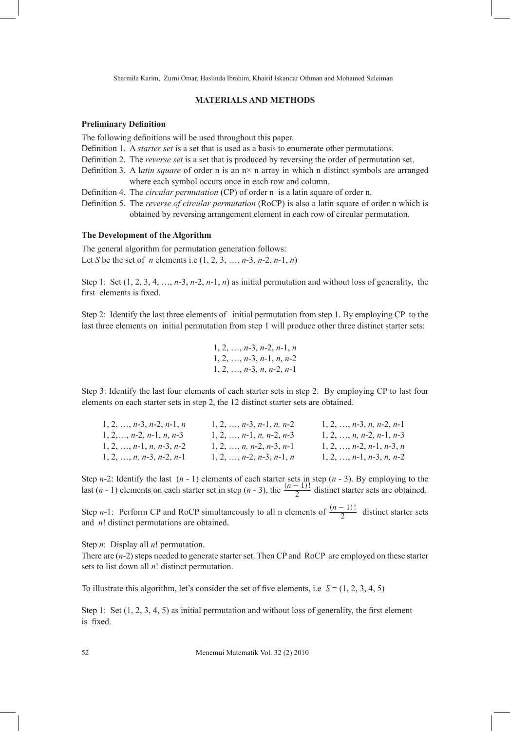Sharmila Karim, Zurni Omar, Haslinda Ibrahim, Khairil Iskandar Othman and Mohamed Suleiman

## **MATERIALS AND METHODS**

#### **Preliminary Definition**

The following definitions will be used throughout this paper.

Definition 1. A *starter set* is a set that is used as a basis to enumerate other permutations.

- Definition 2. The *reverse set* is a set that is produced by reversing the order of permutation set.
- Definition 3. A latin square of order n is an  $n \times n$  array in which n distinct symbols are arranged where each symbol occurs once in each row and column.

Definition 4. The *circular permutation* (CP) of order n is a latin square of order n.

Definition 5. The *reverse of circular permutation* (RoCP) is also a latin square of order n which is obtained by reversing arrangement element in each row of circular permutation.

#### **The Development of the Algorithm**

The general algorithm for permutation generation follows: Let *S* be the set of *n* elements i.e (1, 2, 3, …, *n*-3, *n*-2, *n*-1, *n*)

Step 1: Set  $(1, 2, 3, 4, \ldots, n-3, n-2, n-1, n)$  as initial permutation and without loss of generality, the first elements is fixed.

Step 2: Identify the last three elements of initial permutation from step 1. By employing CP to the last three elements on initial permutation from step 1 will produce other three distinct starter sets:

```
1, 2, …, n-3, n-2, n-1, n
1, 2, …, n-3, n-1, n, n-2
1, 2, …, n-3, n, n-2, n-1
```
Step 3: Identify the last four elements of each starter sets in step 2. By employing CP to last four elements on each starter sets in step 2, the 12 distinct starter sets are obtained.

| $1, 2, \ldots, n-3, n-2, n-1, n$ | $1, 2, \ldots, n-3, n-1, n, n-2$ | $1, 2, \ldots, n-3, n, n-2, n-1$ |
|----------------------------------|----------------------------------|----------------------------------|
| $1, 2, \ldots, n-2, n-1, n, n-3$ | $1, 2, , n-1, n, n-2, n-3$       | $1, 2, \ldots, n, n-2, n-1, n-3$ |
| $1, 2, , n-1, n, n-3, n-2$       | $1, 2, \ldots, n, n-2, n-3, n-1$ | $1, 2, \ldots, n-2, n-1, n-3, n$ |
| $1, 2, , n, n-3, n-2, n-1$       | $1, 2, \ldots, n-2, n-3, n-1, n$ | $1, 2, \ldots, n-1, n-3, n, n-2$ |

Step *n*-2: Identify the last  $(n - 1)$  elements of each starter sets in step  $(n - 3)$ . By employing to the last  $(n - 1)$  elements on each starter set in step  $(n - 3)$ , the  $\frac{(n - 1)!}{2}$  distinct starter sets are obtained.

Step *n*-1: Perform CP and RoCP simultaneously to all n elements of  $\frac{(n-1)!}{2}$  distinct starter sets and *n*! distinct permutations are obtained.

Step *n*: Display all *n*! permutation.

There are (*n*-2) steps needed to generate starter set. Then CP and RoCP are employed on these starter sets to list down all *n*! distinct permutation.

To illustrate this algorithm, let's consider the set of five elements, i.e.  $S = (1, 2, 3, 4, 5)$ 

Step 1: Set  $(1, 2, 3, 4, 5)$  as initial permutation and without loss of generality, the first element is fixed.

52 Menemui Matematik Vol. 32 (2) 2010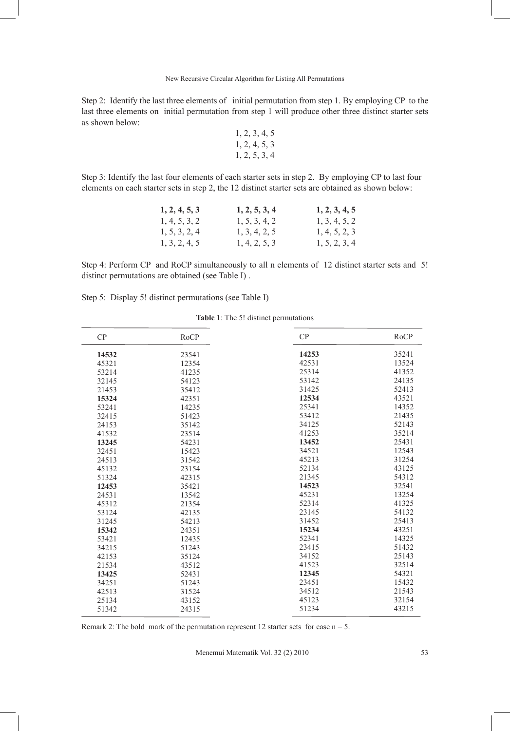Step 2: Identify the last three elements of initial permutation from step 1. By employing CP to the last three elements on initial permutation from step 1 will produce other three distinct starter sets as shown below:

1, 2, 3, 4, 5 1, 2, 4, 5, 3 1, 2, 5, 3, 4

Step 3: Identify the last four elements of each starter sets in step 2. By employing CP to last four elements on each starter sets in step 2, the 12 distinct starter sets are obtained as shown below:

| 1, 2, 4, 5, 3 | 1, 2, 5, 3, 4 | 1, 2, 3, 4, 5 |
|---------------|---------------|---------------|
| 1, 4, 5, 3, 2 | 1, 5, 3, 4, 2 | 1, 3, 4, 5, 2 |
| 1, 5, 3, 2, 4 | 1, 3, 4, 2, 5 | 1, 4, 5, 2, 3 |
| 1, 3, 2, 4, 5 | 1, 4, 2, 5, 3 | 1, 5, 2, 3, 4 |

Step 4: Perform CP and RoCP simultaneously to all n elements of 12 distinct starter sets and 5! distinct permutations are obtained (see Table I) .

|  |  |  | Step 5: Display 5! distinct permutations (see Table I) |  |  |  |
|--|--|--|--------------------------------------------------------|--|--|--|
|--|--|--|--------------------------------------------------------|--|--|--|

### **Table 1**: The 5! distinct permutations

| CP    | <b>RoCP</b> | CP    | <b>RoCP</b> |
|-------|-------------|-------|-------------|
| 14532 | 23541       | 14253 | 35241       |
| 45321 | 12354       | 42531 | 13524       |
| 53214 | 41235       | 25314 | 41352       |
| 32145 | 54123       | 53142 | 24135       |
| 21453 | 35412       | 31425 | 52413       |
| 15324 | 42351       | 12534 | 43521       |
| 53241 | 14235       | 25341 | 14352       |
| 32415 | 51423       | 53412 | 21435       |
| 24153 | 35142       | 34125 | 52143       |
| 41532 | 23514       | 41253 | 35214       |
| 13245 | 54231       | 13452 | 25431       |
| 32451 | 15423       | 34521 | 12543       |
| 24513 | 31542       | 45213 | 31254       |
| 45132 | 23154       | 52134 | 43125       |
| 51324 | 42315       | 21345 | 54312       |
| 12453 | 35421       | 14523 | 32541       |
| 24531 | 13542       | 45231 | 13254       |
| 45312 | 21354       | 52314 | 41325       |
| 53124 | 42135       | 23145 | 54132       |
| 31245 | 54213       | 31452 | 25413       |
| 15342 | 24351       | 15234 | 43251       |
| 53421 | 12435       | 52341 | 14325       |
| 34215 | 51243       | 23415 | 51432       |
| 42153 | 35124       | 34152 | 25143       |
| 21534 | 43512       | 41523 | 32514       |
| 13425 | 52431       | 12345 | 54321       |
| 34251 | 51243       | 23451 | 15432       |
| 42513 | 31524       | 34512 | 21543       |
| 25134 | 43152       | 45123 | 32154       |
| 51342 | 24315       | 51234 | 43215       |

Remark 2: The bold mark of the permutation represent 12 starter sets for case  $n = 5$ .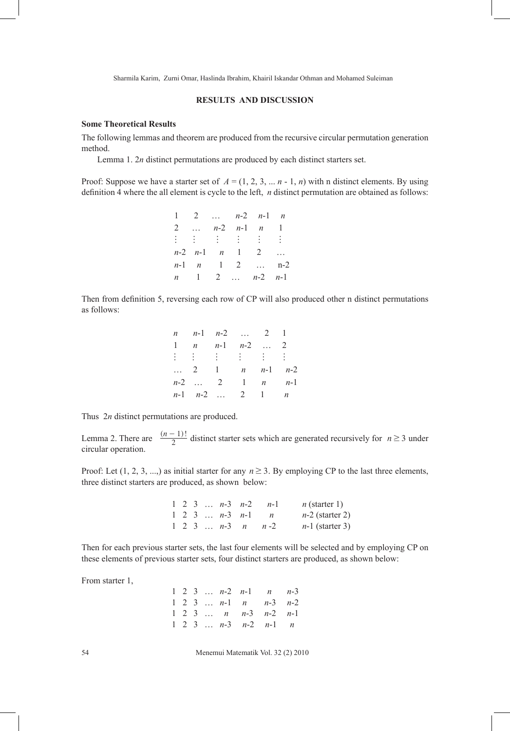Sharmila Karim, Zurni Omar, Haslinda Ibrahim, Khairil Iskandar Othman and Mohamed Suleiman

### **RESULTS AND DISCUSSION**

### **Some Theoretical Results**

The following lemmas and theorem are produced from the recursive circular permutation generation method.

Lemma 1. 2*n* distinct permutations are produced by each distinct starters set.

Proof: Suppose we have a starter set of  $A = (1, 2, 3, \dots n - 1, n)$  with n distinct elements. By using definition 4 where the all element is cycle to the left, *n* distinct permutation are obtained as follows:

|  |  | 1 2 $n-2$ $n-1$ $n$                            |  |
|--|--|------------------------------------------------|--|
|  |  | 2 $n-2$ $n-1$ $n$ 1                            |  |
|  |  |                                                |  |
|  |  | $n-2$ $n-1$ $n$ 1 2                            |  |
|  |  | $n-1$ $n$ 1 2  n-2                             |  |
|  |  | $n \quad 1 \quad 2 \quad  \quad n-2 \quad n-1$ |  |

Then from definition 5, reversing each row of CP will also produced other n distinct permutations as follows:

|         | <i>n n</i> -1 <i>n</i> -2  2 1 |  |
|---------|--------------------------------|--|
|         | 1 <i>n n</i> -1 <i>n</i> -2  2 |  |
|         |                                |  |
|         | 2 1 <i>n n</i> -1 <i>n</i> -2  |  |
| $n-2$ 2 | 1 $n$ $n-1$                    |  |
|         | $n-1$ $n-2$ 2 1 n              |  |

Thus 2*n* distinct permutations are produced.

Lemma 2. There are  $\frac{(n-1)!}{2}$  distinct starter sets which are generated recursively for  $n \ge 3$  under circular operation.

Proof: Let  $(1, 2, 3, \ldots)$  as initial starter for any  $n \ge 3$ . By employing CP to the last three elements, three distinct starters are produced, as shown below:

|  |  |                                   | 1 2 3 $n-3$ $n-2$ $n-1$           | $n$ (starter 1)   |
|--|--|-----------------------------------|-----------------------------------|-------------------|
|  |  | $1 \t2 \t3 \t \t n-3 \t n-1 \t n$ |                                   | $n-2$ (starter 2) |
|  |  |                                   | $1 \t2 \t3 \t \t n-3 \t n \t n-2$ | $n-1$ (starter 3) |

Then for each previous starter sets, the last four elements will be selected and by employing CP on these elements of previous starter sets, four distinct starters are produced, as shown below:

From starter 1,

|  |  | $1 \t2 \t3 \t \t n-2 \t n-1 \t n \t n-3$ |  |
|--|--|------------------------------------------|--|
|  |  | 1 2 3 $n-1$ $n$ $n-3$ $n-2$              |  |
|  |  | $1 \t2 \t3 \t \t n \t n-3 \t n-2 \t n-1$ |  |
|  |  | 1 2 3 $n-3$ $n-2$ $n-1$ $n$              |  |

54 Menemui Matematik Vol. 32 (2) 2010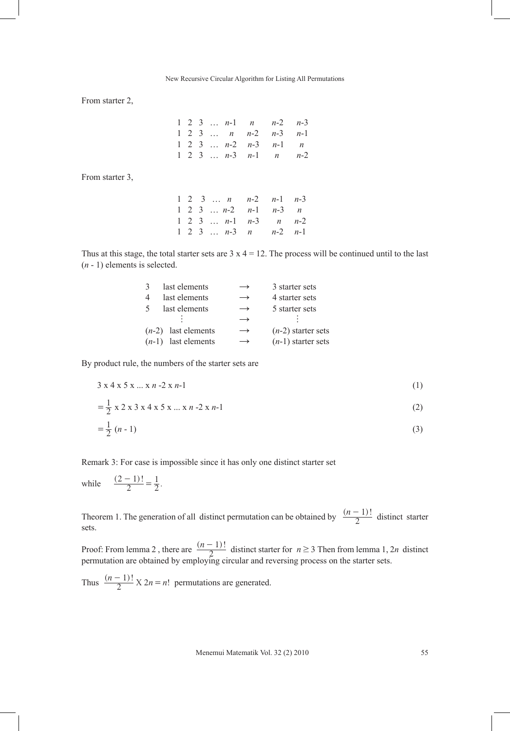From starter 2,

|  |  |  | 1 2 3 $n-1$ $n$ $n-2$ $n-3$ |  |
|--|--|--|-----------------------------|--|
|  |  |  | 1 2 3 $n$ $n-2$ $n-3$ $n-1$ |  |
|  |  |  | 1 2 3 $n-2$ $n-3$ $n-1$ $n$ |  |
|  |  |  | 1 2 3 $n-3$ $n-1$ $n$ $n-2$ |  |

From starter 3,

|  |  | 1 2 3 $n$ $n-2$ $n-1$ $n-3$ |  |
|--|--|-----------------------------|--|
|  |  | 1 2 3 $n-2$ $n-1$ $n-3$ $n$ |  |
|  |  | 1 2 3 $n-1$ $n-3$ $n$ $n-2$ |  |
|  |  | 1 2 3 $n-3$ $n$ $n-2$ $n-1$ |  |

Thus at this stage, the total starter sets are  $3 \times 4 = 12$ . The process will be continued until to the last (*n* - 1) elements is selected.

| 3 | last elements         | $\rightarrow$ | 3 starter sets       |
|---|-----------------------|---------------|----------------------|
| 4 | last elements         | $\rightarrow$ | 4 starter sets       |
| 5 | last elements         | $\rightarrow$ | 5 starter sets       |
|   |                       | $\rightarrow$ |                      |
|   | $(n-2)$ last elements | $\rightarrow$ | $(n-2)$ starter sets |
|   | $(n-1)$ last elements | $\rightarrow$ | $(n-1)$ starter sets |

By product rule, the numbers of the starter sets are

$$
3 \times 4 \times 5 \times ... \times n - 2 \times n - 1 \tag{1}
$$

$$
= \frac{1}{2} \times 2 \times 3 \times 4 \times 5 \times ... \times n - 2 \times n - 1
$$
 (2)

$$
=\frac{1}{2}(n-1)\tag{3}
$$

Remark 3: For case is impossible since it has only one distinct starter set

while  $\frac{(2-1)!}{2} = \frac{1}{2}$ .  $\frac{-1}{2} = \frac{1}{2}$ 

Theorem 1. The generation of all distinct permutation can be obtained by  $\frac{(n-1)!}{2}$  distinct starter sets.

Proof: From lemma 2, there are  $\frac{(n-1)!}{2}$  distinct starter for  $n \ge 3$  Then from lemma 1, 2*n* distinct permutation are obtained by employing circular and reversing process on the starter sets.

Thus  $\frac{(n-1)!}{2} \times 2n = n!$  permutations are generated.

Menemui Matematik Vol. 32 (2) 2010 55